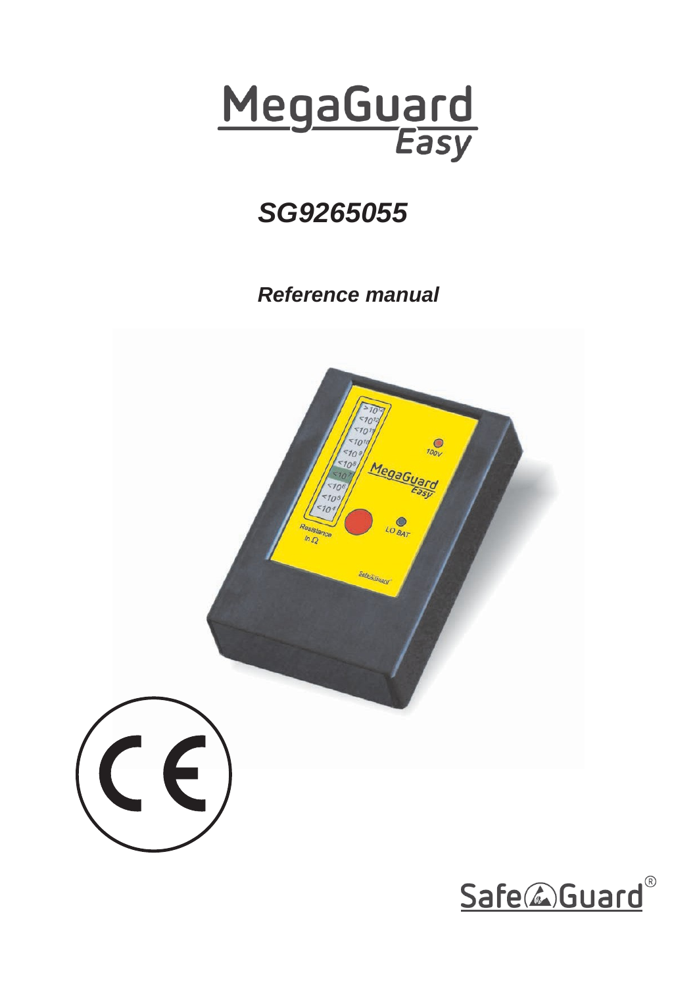

# *SG9265055*

*Reference manual*



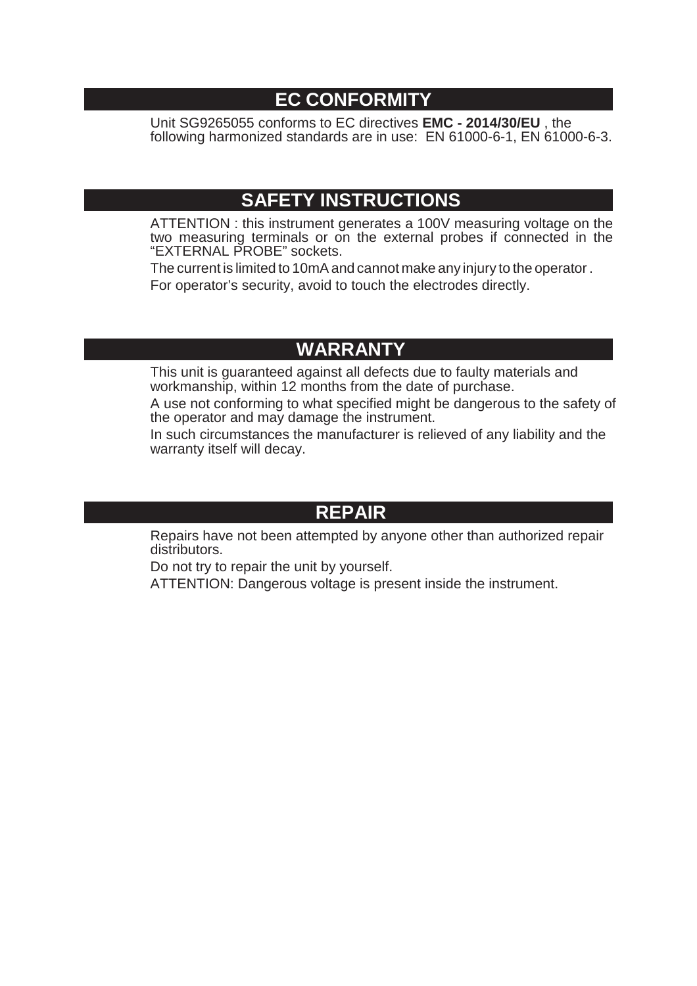## **EC CONFORMITY**

Unit SG9265055 conforms to EC directives **EMC - 2014/30/EU** , the following harmonized standards are in use: EN 61000-6-1, EN 61000-6-3.

## **SAFETY INSTRUCTIONS**

ATTENTION : this instrument generates a 100V measuring voltage on the two measuring terminals or on the external probes if connected in the "EXTERNAL PROBE" sockets.

The current is limited to 10mA and cannot make any injury to the operator. For operator's security, avoid to touch the electrodes directly.

# **WARRANTY**

This unit is guaranteed against all defects due to faulty materials and workmanship, within 12 months from the date of purchase.

A use not conforming to what specified might be dangerous to the safety of the operator and may damage the instrument.

In such circumstances the manufacturer is relieved of any liability and the warranty itself will decay.

### **REPAIR**

Repairs have not been attempted by anyone other than authorized repair distributors.

Do not try to repair the unit by yourself.

ATTENTION: Dangerous voltage is present inside the instrument.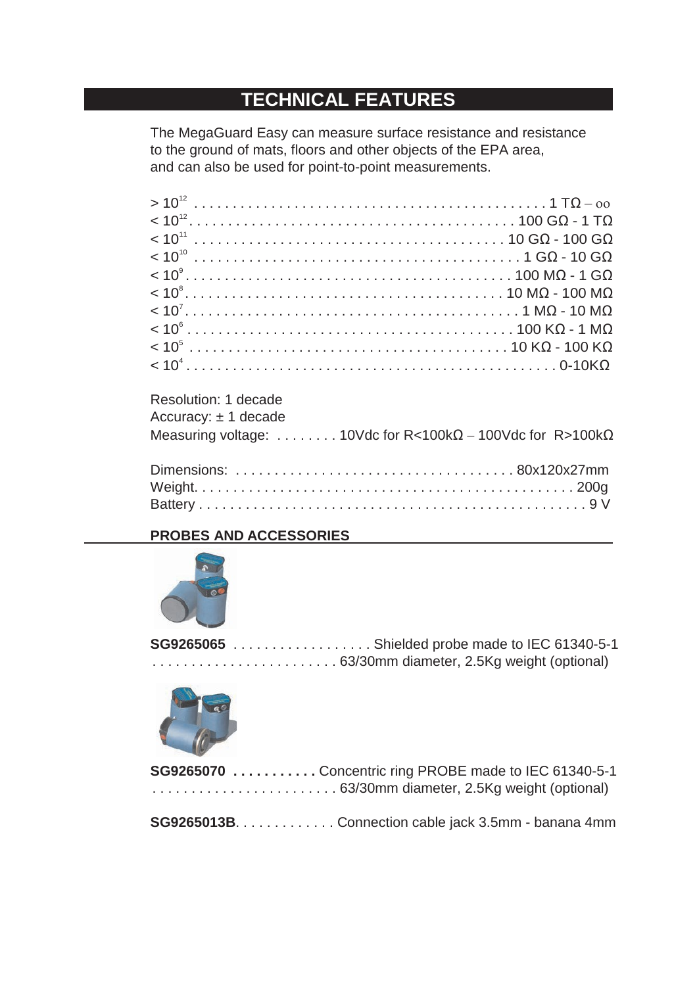# **TECHNICAL FEATURES**

The MegaGuard Easy can measure surface resistance and resistance to the ground of mats, floors and other objects of the EPA area, and can also be used for point-to-point measurements.

| Resolution: 1 decade     |                                                                           |
|--------------------------|---------------------------------------------------------------------------|
| Accuracy: $\pm$ 1 decade |                                                                           |
|                          | Measuring voltage: 10Vdc for R<100k $\Omega$ – 100Vdc for R>100k $\Omega$ |
|                          |                                                                           |
|                          |                                                                           |
|                          |                                                                           |
|                          |                                                                           |

### **PROBES AND ACCESSORIES**



| <b>SG9265065</b> Shielded probe made to IEC 61340-5-1 |
|-------------------------------------------------------|
|                                                       |



| <b>SG9265070</b> Concentric ring PROBE made to IEC 61340-5-1 |
|--------------------------------------------------------------|
|                                                              |

**SG9265013B**. . . . . . . . . . . . . Connection cable jack 3.5mm - banana 4mm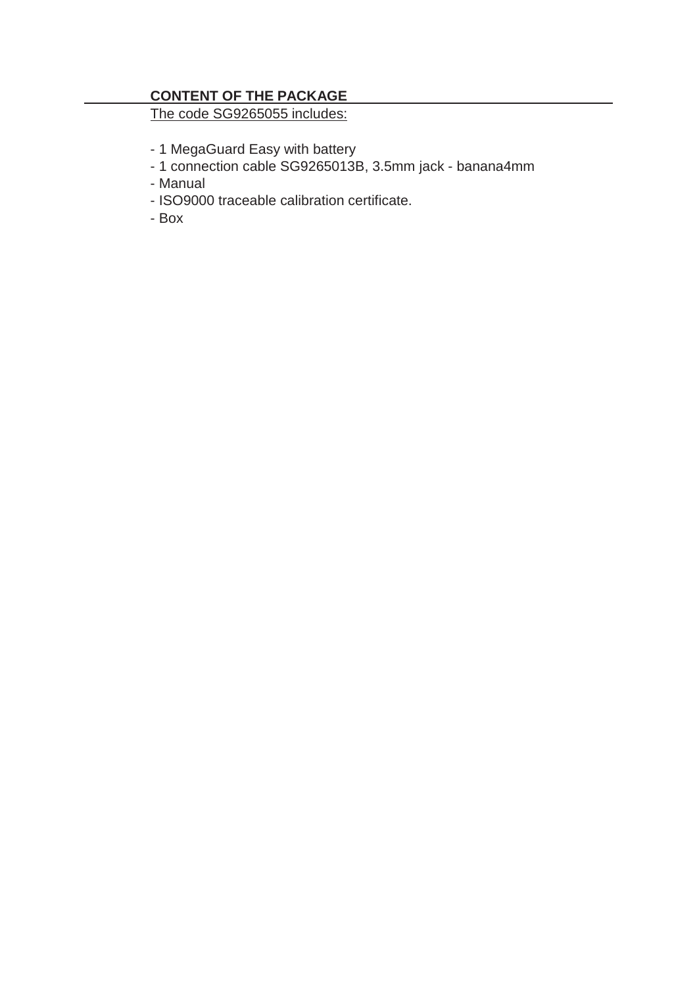### **CONTENT OF THE PACKAGE**

The code SG9265055 includes:

- 1 MegaGuard Easy with battery
- 1 connection cable SG9265013B, 3.5mm jack banana4mm
- Manual
- ISO9000 traceable calibration certificate.
- Box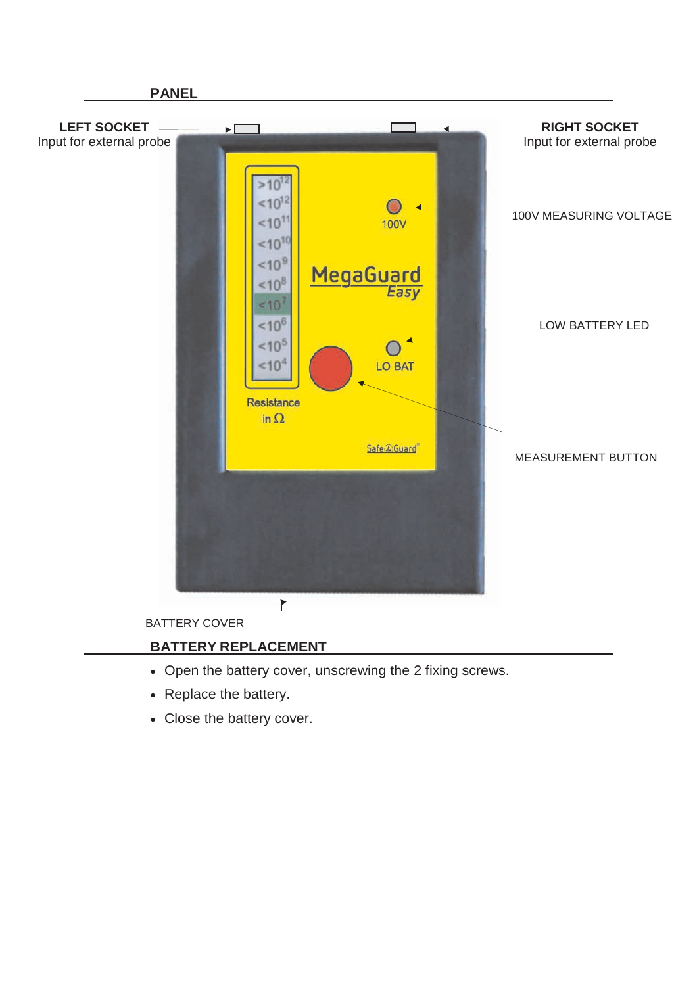

### **BATTERY REPLACEMENT**

- Open the battery cover, unscrewing the 2 fixing screws.
- Replace the battery.
- Close the battery cover.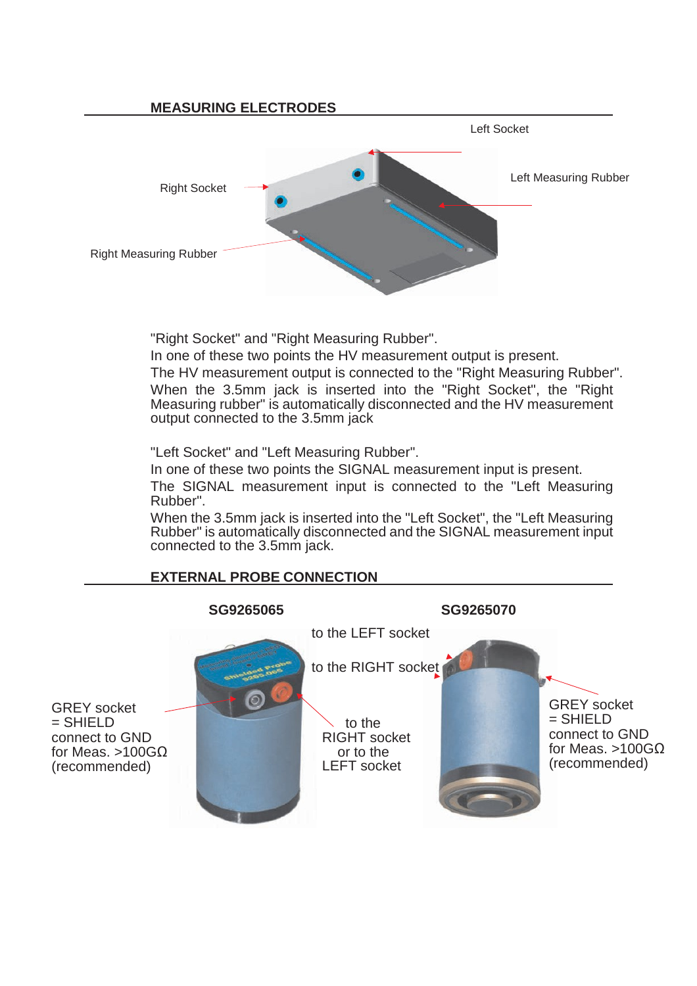

"Right Socket" and "Right Measuring Rubber".

In one of these two points the HV measurement output is present.

The HV measurement output is connected to the "Right Measuring Rubber". When the 3.5mm jack is inserted into the "Right Socket", the "Right Measuring rubber" is automatically disconnected and the HV measurement output connected to the 3.5mm jack

"Left Socket" and "Left Measuring Rubber".

In one of these two points the SIGNAL measurement input is present. The SIGNAL measurement input is connected to the "Left Measuring Rubber".

When the 3.5mm jack is inserted into the "Left Socket", the "Left Measuring Rubber" is automatically disconnected and the SIGNAL measurement input connected to the 3.5mm jack.

### **EXTERNAL PROBE CONNECTION**

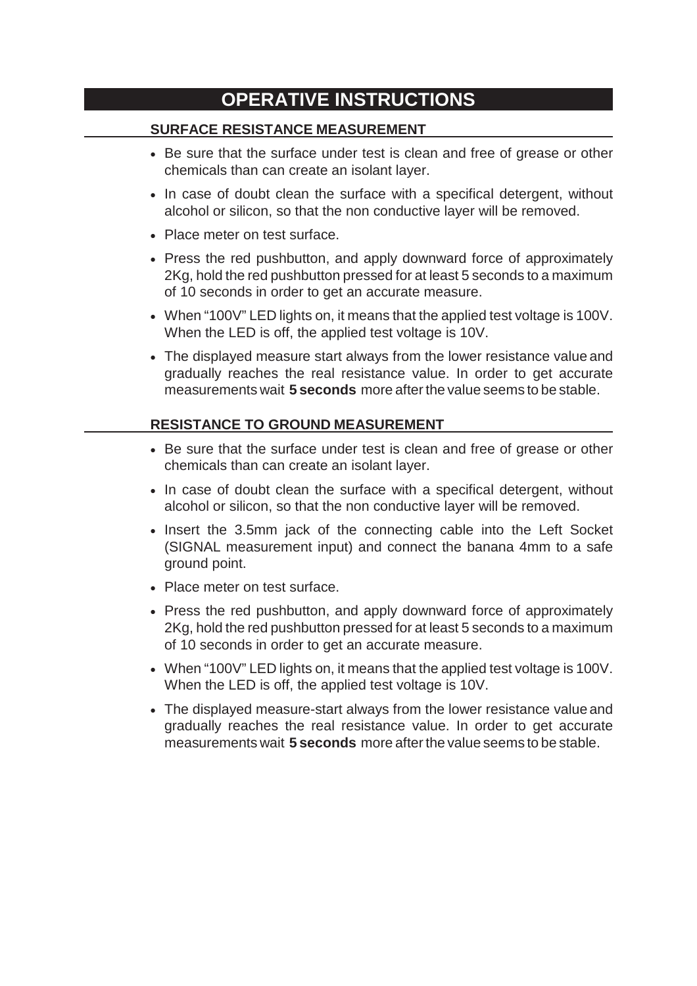# **OPERATIVE INSTRUCTIONS**

#### **SURFACE RESISTANCE MEASUREMENT**

- Be sure that the surface under test is clean and free of grease or other chemicals than can create an isolant layer.
- In case of doubt clean the surface with a specifical detergent, without alcohol or silicon, so that the non conductive layer will be removed.
- Place meter on test surface.
- Press the red pushbutton, and apply downward force of approximately 2Kg, hold the red pushbutton pressed for at least 5 seconds to a maximum of 10 seconds in order to get an accurate measure.
- When "100V" LED lights on, it means that the applied test voltage is 100V. When the LED is off, the applied test voltage is 10V.
- The displayed measure start always from the lower resistance value and gradually reaches the real resistance value. In order to get accurate measurements wait **5 seconds** more afterthe value seems to be stable.

#### **RESISTANCE TO GROUND MEASUREMENT**

- Be sure that the surface under test is clean and free of grease or other chemicals than can create an isolant layer.
- In case of doubt clean the surface with a specifical detergent, without alcohol or silicon, so that the non conductive layer will be removed.
- Insert the 3.5mm jack of the connecting cable into the Left Socket (SIGNAL measurement input) and connect the banana 4mm to a safe ground point.
- Place meter on test surface.
- Press the red pushbutton, and apply downward force of approximately 2Kg, hold the red pushbutton pressed for at least 5 seconds to a maximum of 10 seconds in order to get an accurate measure.
- When "100V" LED lights on, it means that the applied test voltage is 100V. When the LED is off, the applied test voltage is 10V.
- The displayed measure-start always from the lower resistance value and gradually reaches the real resistance value. In order to get accurate measurements wait **5 seconds** more afterthe value seems to be stable.